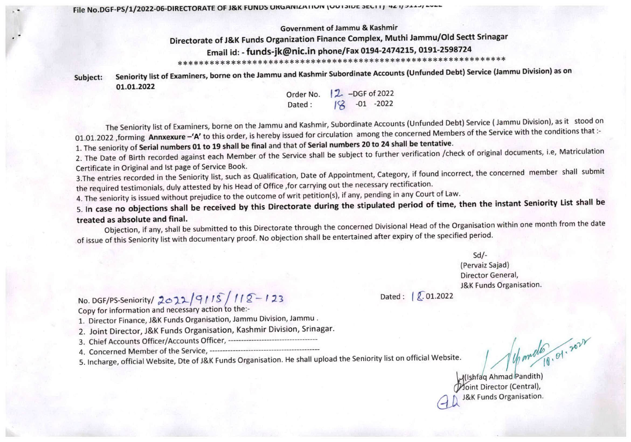File No.DGF-PS/1/2022-06-DIRECTORATE OF J&K FUNDS URGANIZATION (OUTSIDE SECTT) 42 1/344-7 ---

Government of Jammu & Kashmir

Directorate of J&K Funds Organization Finance Complex, Muthi Jammu/Old Sectt Srinagar

Email id: - funds-jk@nic.in phone/Fax 0194-2474215, 0191-2598724

IK\*\*\*\*\*\*\*\*\*\*\*\*\*\*\*\*\*\*#\*\*\*\*\*#\*\*\*\*\*\*\*\*\*\*\*\*\*\*\*\*\*\*\*\*\*\*\*\*\*\*\*\*\*\*\*\*\*\*\*\*

Subject: Seniority list of Examiners, borne on the Jammu and Kashmir Subordinate Accounts (Unfunded Debt) Service (Jammu Division) as on 01.01.2022

Order No. 2 -DGF of 2022 Dated:  $\sqrt{2}$  -01 -2022

The Seniority list of Examiners, borne on the Jammu and Kashmir, Subordinate Accounts (Unfunded Debt) Service (Jammu Division), as it stood on 01.01.2022 , forming Annxexure -'A' to this order, is hereby issued for circulation among the concerned Members of the Service with the conditions that :-<br>1. The seniority of Serial numbers 01 to 19 shall be final and that

2. The Date of Birth recorded against each Member of the Service shall be subject to further verification /check of original documents, i.e, Matriculation<br>Certificate in Original and Ist page of Service Book. Certificate in Original and 1st page of Service Book.

3. The entries recorded in the Seniority list, such as Qualification, Date of Appointment, Category, if found member so, the concerned member shall submit submit submit submit submit submit submit submit submit submit subm the required testimonials, duly attested by his Head of Office ,for carrying out the necessary rectification.

4. The seniority is issued without prejudice to the outcome of writ petition(s), if any, pending in any Court of Law.

5. In case no objections shall be received by this Directorate during the stipulated period of time, then the instant Seniority List shall be treated as absolute and final. treated as absolute and final. The contraction within one month from the contraction within one month from  $\alpha$ 

Objection, if any, shall be submitted to this Directorate through the concerned Divisional Head of the Organisation within  $\frac{1}{2}$ of issue of this Seniority list with documentary proof. No objection shall be entertained after expiry of the specified period.

> $Sd$  /-(Pervaiz Sajad) Director General, J&K Funds Organisation.

No. DGF/PS-Seniority/  $2022/9115/112-123$  Dated:  $201.2022$ Copy for information and necessary action to the:-

1. Director Finance, J&K Funds Organisation, Jammu Division, Jammu .

2. Joint Director, J&K Funds Organisation, Kashmir Division, Srinagar.

3. Chief Accounts Officer/Accounts Officer,

4. Concerned Member of the Service,

5. Incharge, official Website, Dte of J&K Funds Organisation. He shall upload the Seniority list on official Website.

Vepometo 10.01.2022

U^fa(q Ahmad Pandith) Moint Director (Central), J&K Funds Organisation.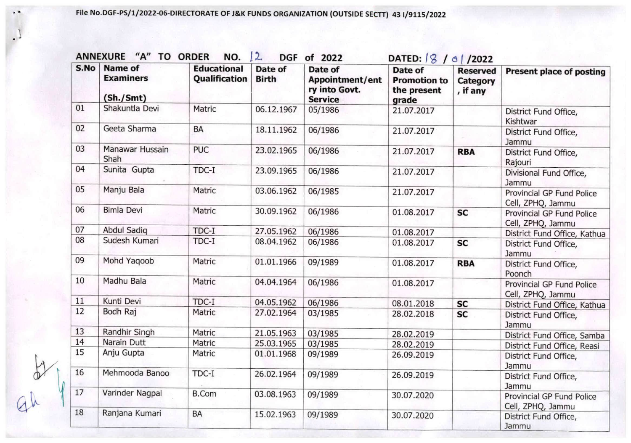File N0.DGF-PS/I/2022-O6-DIRECTORATE OF J&K FUNDS ORGANIZATION (OUTSIDE SECTT) 43 1/9115/2022

| S.No | <b>Name of</b><br><b>Examiners</b><br>(Sh./Smt) | <b>Educational</b><br>Qualification | Date of<br><b>Birth</b> | Date of<br><b>Appointment/ent</b><br>ry into Govt.<br><b>Service</b> | Date of<br><b>Promotion to</b><br>the present<br>grade | <b>Reserved</b><br>Category<br>, if any | <b>Present place of posting</b>                |
|------|-------------------------------------------------|-------------------------------------|-------------------------|----------------------------------------------------------------------|--------------------------------------------------------|-----------------------------------------|------------------------------------------------|
| 01   | Shakuntla Devi                                  | Matric                              | 06.12.1967              | 05/1986                                                              | 21.07.2017                                             |                                         | District Fund Office,<br>Kishtwar              |
| 02   | Geeta Sharma                                    | BA                                  | 18.11.1962              | 06/1986                                                              | 21.07.2017                                             |                                         | District Fund Office,<br>Jammu                 |
| 03   | Manawar Hussain<br>Shah                         | <b>PUC</b>                          | 23.02.1965              | 06/1986                                                              | 21.07.2017                                             | <b>RBA</b>                              | District Fund Office,<br>Rajouri               |
| 04   | Sunita Gupta                                    | TDC-I                               | 23.09.1965              | 06/1986                                                              | 21.07.2017                                             |                                         | Divisional Fund Office,<br>Jammu               |
| 05   | Manju Bala                                      | Matric                              | 03.06.1962              | 06/1985                                                              | 21.07.2017                                             |                                         | Provincial GP Fund Police<br>Cell, ZPHQ, Jammu |
| 06   | <b>Bimla Devi</b>                               | Matric                              | 30.09.1962              | 06/1986                                                              | 01.08.2017                                             | <b>SC</b>                               | Provincial GP Fund Police<br>Cell, ZPHQ, Jammu |
| 07   | Abdul Sadiq                                     | TDC-I                               | 27.05.1962              | 06/1986                                                              | 01.08.2017                                             |                                         | District Fund Office, Kathua                   |
| 08   | Sudesh Kumari                                   | TDC-I                               | 08.04.1962              | 06/1986                                                              | 01.08.2017                                             | <b>SC</b>                               | District Fund Office,<br>Jammu                 |
| 09   | Mohd Yaqoob                                     | Matric                              | 01.01.1966              | 09/1989                                                              | 01.08.2017                                             | <b>RBA</b>                              | District Fund Office,<br>Poonch                |
| 10   | Madhu Bala                                      | Matric                              | 04.04.1964              | 06/1986                                                              | 01.08.2017                                             |                                         | Provincial GP Fund Police<br>Cell, ZPHQ, Jammu |
| 11   | Kunti Devi                                      | TDC-I                               | 04.05.1962              | 06/1986                                                              | 08.01.2018                                             | <b>SC</b>                               | District Fund Office, Kathua                   |
| 12   | Bodh Raj                                        | Matric                              | 27.02.1964              | 03/1985                                                              | 28.02.2018                                             | <b>SC</b>                               | District Fund Office,<br>Jammu                 |
| 13   | Randhir Singh                                   | Matric                              | 21.05.1963              | 03/1985                                                              | 28.02.2019                                             |                                         | District Fund Office, Samba                    |
| 14   | Narain Dutt                                     | Matric                              | 25.03.1965              | 03/1985                                                              | 28.02.2019                                             |                                         | District Fund Office, Reasi                    |
| 15   | Anju Gupta                                      | Matric                              | 01.01.1968              | 09/1989                                                              | 26.09.2019                                             |                                         | District Fund Office,<br>Jammu                 |
| 16   | Mehmooda Banoo                                  | TDC-I                               | 26.02.1964              | 09/1989                                                              | 26.09.2019                                             |                                         | District Fund Office,<br>Jammu                 |
| 17   | Varinder Nagpal                                 | <b>B.Com</b>                        | 03.08.1963              | 09/1989                                                              | 30.07.2020                                             |                                         | Provincial GP Fund Police<br>Cell, ZPHQ, Jammu |
| 18   | Ranjana Kumari                                  | BA                                  | 15.02.1963              | 09/1989                                                              | 30.07.2020                                             |                                         | District Fund Office,<br>Jammu                 |

 $\frac{1}{2}$ 

 $\lambda$ 

 $\cdot$ <sup>1</sup>